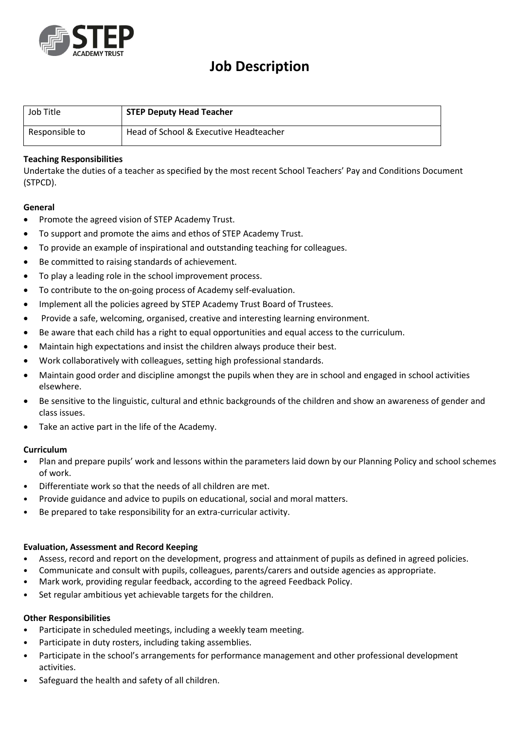

# **Job Description**

| Job Title      | <b>STEP Deputy Head Teacher</b>        |
|----------------|----------------------------------------|
| Responsible to | Head of School & Executive Headteacher |

### **Teaching Responsibilities**

Undertake the duties of a teacher as specified by the most recent School Teachers' Pay and Conditions Document (STPCD).

#### **General**

- Promote the agreed vision of STEP Academy Trust.
- To support and promote the aims and ethos of STEP Academy Trust.
- To provide an example of inspirational and outstanding teaching for colleagues.
- Be committed to raising standards of achievement.
- To play a leading role in the school improvement process.
- To contribute to the on-going process of Academy self-evaluation.
- Implement all the policies agreed by STEP Academy Trust Board of Trustees.
- Provide a safe, welcoming, organised, creative and interesting learning environment.
- Be aware that each child has a right to equal opportunities and equal access to the curriculum.
- Maintain high expectations and insist the children always produce their best.
- Work collaboratively with colleagues, setting high professional standards.
- Maintain good order and discipline amongst the pupils when they are in school and engaged in school activities elsewhere.
- Be sensitive to the linguistic, cultural and ethnic backgrounds of the children and show an awareness of gender and class issues.
- Take an active part in the life of the Academy.

#### **Curriculum**

- Plan and prepare pupils' work and lessons within the parameters laid down by our Planning Policy and school schemes of work.
- Differentiate work so that the needs of all children are met.
- Provide guidance and advice to pupils on educational, social and moral matters.
- Be prepared to take responsibility for an extra‐curricular activity.

#### **Evaluation, Assessment and Record Keeping**

- Assess, record and report on the development, progress and attainment of pupils as defined in agreed policies.
- Communicate and consult with pupils, colleagues, parents/carers and outside agencies as appropriate.
- Mark work, providing regular feedback, according to the agreed Feedback Policy.
- Set regular ambitious yet achievable targets for the children.

#### **Other Responsibilities**

- Participate in scheduled meetings, including a weekly team meeting.
- Participate in duty rosters, including taking assemblies.
- Participate in the school's arrangements for performance management and other professional development activities.
- Safeguard the health and safety of all children.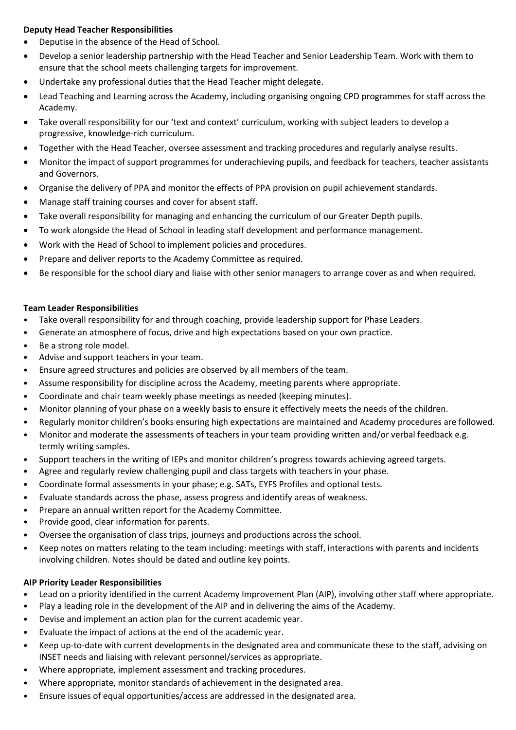# **Deputy Head Teacher Responsibilities**

- Deputise in the absence of the Head of School.
- Develop a senior leadership partnership with the Head Teacher and Senior Leadership Team. Work with them to ensure that the school meets challenging targets for improvement.
- Undertake any professional duties that the Head Teacher might delegate.
- Lead Teaching and Learning across the Academy, including organising ongoing CPD programmes for staff across the Academy.
- Take overall responsibility for our 'text and context' curriculum, working with subject leaders to develop a progressive, knowledge-rich curriculum.
- Together with the Head Teacher, oversee assessment and tracking procedures and regularly analyse results.
- Monitor the impact of support programmes for underachieving pupils, and feedback for teachers, teacher assistants and Governors.
- Organise the delivery of PPA and monitor the effects of PPA provision on pupil achievement standards.
- Manage staff training courses and cover for absent staff.
- Take overall responsibility for managing and enhancing the curriculum of our Greater Depth pupils.
- To work alongside the Head of School in leading staff development and performance management.
- Work with the Head of School to implement policies and procedures.
- Prepare and deliver reports to the Academy Committee as required.
- Be responsible for the school diary and liaise with other senior managers to arrange cover as and when required.

# **Team Leader Responsibilities**

- Take overall responsibility for and through coaching, provide leadership support for Phase Leaders.
- Generate an atmosphere of focus, drive and high expectations based on your own practice.
- Be a strong role model.
- Advise and support teachers in your team.
- Ensure agreed structures and policies are observed by all members of the team.
- Assume responsibility for discipline across the Academy, meeting parents where appropriate.
- Coordinate and chair team weekly phase meetings as needed (keeping minutes).
- Monitor planning of your phase on a weekly basis to ensure it effectively meets the needs of the children.
- Regularly monitor children's books ensuring high expectations are maintained and Academy procedures are followed.
- Monitor and moderate the assessments of teachers in your team providing written and/or verbal feedback e.g. termly writing samples.
- Support teachers in the writing of IEPs and monitor children's progress towards achieving agreed targets.
- Agree and regularly review challenging pupil and class targets with teachers in your phase.
- Coordinate formal assessments in your phase; e.g. SATs, EYFS Profiles and optional tests.
- Evaluate standards across the phase, assess progress and identify areas of weakness.
- Prepare an annual written report for the Academy Committee.
- Provide good, clear information for parents.
- Oversee the organisation of class trips, journeys and productions across the school.
- Keep notes on matters relating to the team including: meetings with staff, interactions with parents and incidents involving children. Notes should be dated and outline key points.

# **AIP Priority Leader Responsibilities**

- Lead on a priority identified in the current Academy Improvement Plan (AIP), involving other staff where appropriate.
- Play a leading role in the development of the AIP and in delivering the aims of the Academy.
- Devise and implement an action plan for the current academic year.
- Evaluate the impact of actions at the end of the academic year.
- Keep up-to-date with current developments in the designated area and communicate these to the staff, advising on INSET needs and liaising with relevant personnel/services as appropriate.
- Where appropriate, implement assessment and tracking procedures.
- Where appropriate, monitor standards of achievement in the designated area.
- Ensure issues of equal opportunities/access are addressed in the designated area.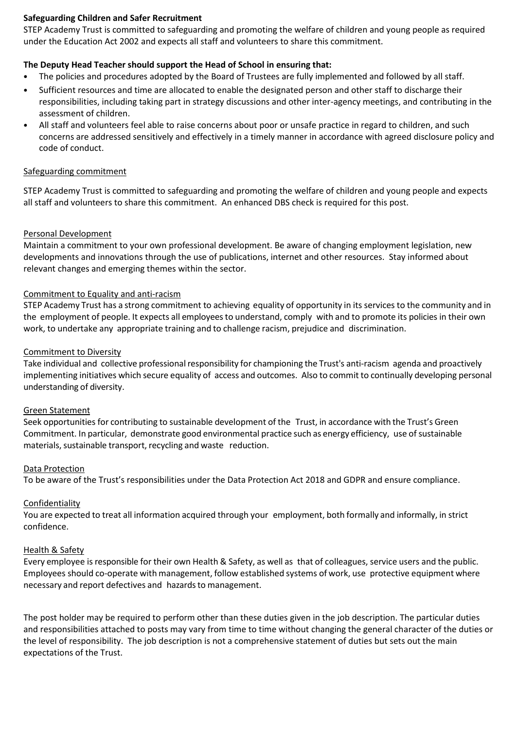#### **Safeguarding Children and Safer Recruitment**

STEP Academy Trust is committed to safeguarding and promoting the welfare of children and young people as required under the Education Act 2002 and expects all staff and volunteers to share this commitment.

# **The Deputy Head Teacher should support the Head of School in ensuring that:**

- The policies and procedures adopted by the Board of Trustees are fully implemented and followed by all staff.
- Sufficient resources and time are allocated to enable the designated person and other staff to discharge their responsibilities, including taking part in strategy discussions and other inter-agency meetings, and contributing in the assessment of children.
- All staff and volunteers feel able to raise concerns about poor or unsafe practice in regard to children, and such concerns are addressed sensitively and effectively in a timely manner in accordance with agreed disclosure policy and code of conduct.

#### Safeguarding commitment

STEP Academy Trust is committed to safeguarding and promoting the welfare of children and young people and expects all staff and volunteers to share this commitment. An enhanced DBS check is required for this post.

#### Personal Development

Maintain a commitment to your own professional development. Be aware of changing employment legislation, new developments and innovations through the use of publications, internet and other resources. Stay informed about relevant changes and emerging themes within the sector.

#### Commitment to Equality and anti-racism

STEP Academy Trust has a strong commitment to achieving equality of opportunity in its services to the community and in the employment of people. It expects all employees to understand, comply with and to promote its policies in their own work, to undertake any appropriate training and to challenge racism, prejudice and discrimination.

#### Commitment to Diversity

Take individual and collective professional responsibility for championing the Trust's anti-racism agenda and proactively implementing initiatives which secure equality of access and outcomes. Also to commit to continually developing personal understanding of diversity.

#### Green Statement

Seek opportunities for contributing to sustainable development of the Trust, in accordance with the Trust's Green Commitment. In particular, demonstrate good environmental practice such as energy efficiency, use of sustainable materials, sustainable transport, recycling and waste reduction.

#### Data Protection

To be aware of the Trust's responsibilities under the Data Protection Act 2018 and GDPR and ensure compliance.

# **Confidentiality**

You are expected to treat all information acquired through your employment, both formally and informally, in strict confidence.

#### Health & Safety

Every employee is responsible for their own Health & Safety, as well as that of colleagues, service users and the public. Employees should co-operate with management, follow established systems of work, use protective equipment where necessary and report defectives and hazards to management.

The post holder may be required to perform other than these duties given in the job description. The particular duties and responsibilities attached to posts may vary from time to time without changing the general character of the duties or the level of responsibility. The job description is not a comprehensive statement of duties but sets out the main expectations of the Trust.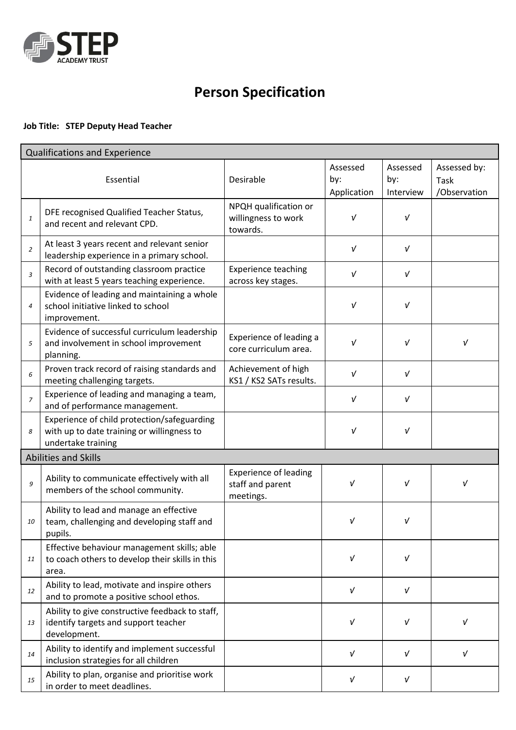

# **Person Specification**

# **Job Title: STEP Deputy Head Teacher**

| Qualifications and Experience |                                                                                                                 |                                                               |                                |                              |                                      |  |  |  |
|-------------------------------|-----------------------------------------------------------------------------------------------------------------|---------------------------------------------------------------|--------------------------------|------------------------------|--------------------------------------|--|--|--|
| Essential                     |                                                                                                                 | Desirable                                                     | Assessed<br>by:<br>Application | Assessed<br>by:<br>Interview | Assessed by:<br>Task<br>/Observation |  |  |  |
| 1                             | DFE recognised Qualified Teacher Status,<br>and recent and relevant CPD.                                        | NPQH qualification or<br>willingness to work<br>towards.      | $\sqrt{ }$                     | $\sqrt{ }$                   |                                      |  |  |  |
| $\overline{2}$                | At least 3 years recent and relevant senior<br>leadership experience in a primary school.                       |                                                               | $\sqrt{ }$                     | $\sqrt{ }$                   |                                      |  |  |  |
| 3                             | Record of outstanding classroom practice<br>with at least 5 years teaching experience.                          | <b>Experience teaching</b><br>across key stages.              | $\sqrt{ }$                     | $\sqrt{ }$                   |                                      |  |  |  |
| $\overline{4}$                | Evidence of leading and maintaining a whole<br>school initiative linked to school<br>improvement.               |                                                               | $\sqrt{ }$                     | $\sqrt{ }$                   |                                      |  |  |  |
| 5                             | Evidence of successful curriculum leadership<br>and involvement in school improvement<br>planning.              | Experience of leading a<br>core curriculum area.              | ν                              | $\sqrt{ }$                   | ν                                    |  |  |  |
| 6                             | Proven track record of raising standards and<br>meeting challenging targets.                                    | Achievement of high<br>KS1 / KS2 SATs results.                | ν                              | $\sqrt{ }$                   |                                      |  |  |  |
| $\overline{z}$                | Experience of leading and managing a team,<br>and of performance management.                                    |                                                               | $\sqrt{ }$                     | $\sqrt{ }$                   |                                      |  |  |  |
| 8                             | Experience of child protection/safeguarding<br>with up to date training or willingness to<br>undertake training |                                                               | $\sqrt{ }$                     | $\sqrt{ }$                   |                                      |  |  |  |
| Abilities and Skills          |                                                                                                                 |                                                               |                                |                              |                                      |  |  |  |
| 9                             | Ability to communicate effectively with all<br>members of the school community.                                 | <b>Experience of leading</b><br>staff and parent<br>meetings. | V                              | $\sqrt{ }$                   | V                                    |  |  |  |
| 10                            | Ability to lead and manage an effective<br>team, challenging and developing staff and<br>pupils.                |                                                               | V                              | ν                            |                                      |  |  |  |
| 11                            | Effective behaviour management skills; able<br>to coach others to develop their skills in this<br>area.         |                                                               | V                              | $\sqrt{ }$                   |                                      |  |  |  |
| 12                            | Ability to lead, motivate and inspire others<br>and to promote a positive school ethos.                         |                                                               | $\sqrt{ }$                     | $\sqrt{ }$                   |                                      |  |  |  |
| 13                            | Ability to give constructive feedback to staff,<br>identify targets and support teacher<br>development.         |                                                               | $\sqrt{ }$                     | $\sqrt{ }$                   | $\sqrt{ }$                           |  |  |  |
| 14                            | Ability to identify and implement successful<br>inclusion strategies for all children                           |                                                               | $\sqrt{ }$                     | $\sqrt{ }$                   | $\sqrt{ }$                           |  |  |  |
| 15                            | Ability to plan, organise and prioritise work<br>in order to meet deadlines.                                    |                                                               | $\sqrt{ }$                     | $\sqrt{ }$                   |                                      |  |  |  |